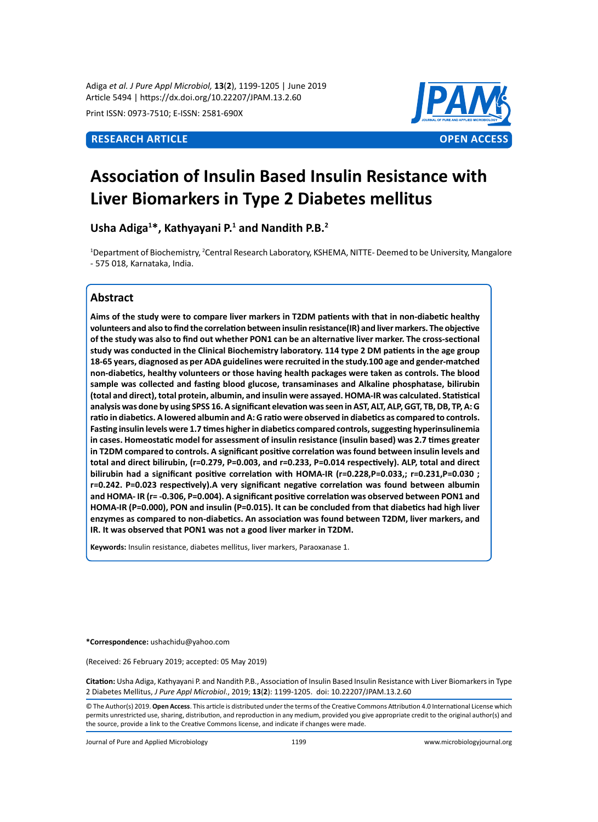Adiga *et al. J Pure Appl Microbiol,* **13**(**2**), 1199-1205 | June 2019 Article 5494 | https://dx.doi.org/10.22207/JPAM.13.2.60

Print ISSN: 0973-7510; E-ISSN: 2581-690X



# **Association of Insulin Based Insulin Resistance with Liver Biomarkers in Type 2 Diabetes mellitus**

**Usha Adiga<sup>1</sup> \*, Kathyayani P.<sup>1</sup> and Nandith P.B.<sup>2</sup>**

<sup>1</sup>Department of Biochemistry, <sup>2</sup>Central Research Laboratory, KSHEMA, NITTE- Deemed to be University, Mangalore - 575 018, Karnataka, India.

# **Abstract**

**Aims of the study were to compare liver markers in T2DM patients with that in non-diabetic healthy volunteers and also to find the correlation between insulin resistance(IR) and liver markers. The objective of the study was also to find out whether PON1 can be an alternative liver marker. The cross-sectional study was conducted in the Clinical Biochemistry laboratory. 114 type 2 DM patients in the age group 18-65 years, diagnosed as per ADA guidelines were recruited in the study.100 age and gender-matched non-diabetics, healthy volunteers or those having health packages were taken as controls. The blood sample was collected and fasting blood glucose, transaminases and Alkaline phosphatase, bilirubin (total and direct), total protein, albumin, and insulin were assayed. HOMA-IR was calculated. Statistical analysis was done by using SPSS 16. A significant elevation was seen in AST, ALT, ALP, GGT, TB, DB, TP, A: G ratio in diabetics. A lowered albumin and A: G ratio were observed in diabetics as compared to controls. Fasting insulin levels were 1.7 times higher in diabetics compared controls, suggesting hyperinsulinemia in cases. Homeostatic model for assessment of insulin resistance (insulin based) was 2.7 times greater in T2DM compared to controls. A significant positive correlation was found between insulin levels and total and direct bilirubin, (r=0.279, P=0.003, and r=0.233, P=0.014 respectively). ALP, total and direct bilirubin had a significant positive correlation with HOMA-IR (r=0.228,P=0.033,; r=0.231,P=0.030 ; r=0.242. P=0.023 respectively).A very significant negative correlation was found between albumin and HOMA- IR (r= -0.306, P=0.004). A significant positive correlation was observed between PON1 and HOMA-IR (P=0.000), PON and insulin (P=0.015). It can be concluded from that diabetics had high liver enzymes as compared to non-diabetics. An association was found between T2DM, liver markers, and IR. It was observed that PON1 was not a good liver marker in T2DM.**

**Keywords:** Insulin resistance, diabetes mellitus, liver markers, Paraoxanase 1.

**\*Correspondence:** ushachidu@yahoo.com

(Received: 26 February 2019; accepted: 05 May 2019)

**Citation:** Usha Adiga, Kathyayani P. and Nandith P.B., Association of Insulin Based Insulin Resistance with Liver Biomarkers in Type 2 Diabetes Mellitus, *J Pure Appl Microbiol*., 2019; **13**(**2**): 1199-1205. doi: 10.22207/JPAM.13.2.60

© The Author(s) 2019. **Open Access**. This article is distributed under the terms of the Creative Commons Attribution 4.0 International License which permits unrestricted use, sharing, distribution, and reproduction in any medium, provided you give appropriate credit to the original author(s) and the source, provide a link to the Creative Commons license, and indicate if changes were made.

Journal of Pure and Applied Microbiology 1199 www.microbiologyjournal.org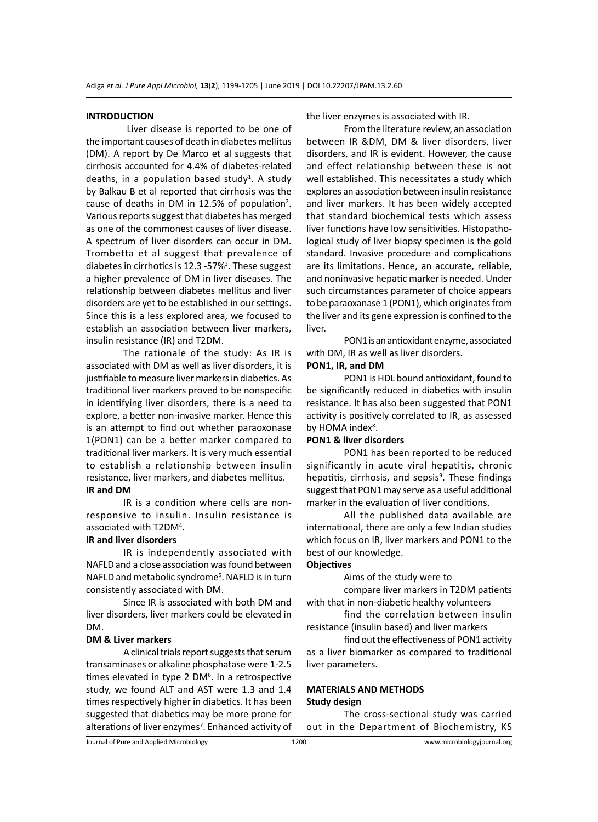#### **INTRODUCTION**

 Liver disease is reported to be one of the important causes of death in diabetes mellitus (DM). A report by De Marco et al suggests that cirrhosis accounted for 4.4% of diabetes-related deaths, in a population based study<sup>1</sup>. A study by Balkau B et al reported that cirrhosis was the cause of deaths in DM in 12.5% of population<sup>2</sup>. Various reports suggest that diabetes has merged as one of the commonest causes of liver disease. A spectrum of liver disorders can occur in DM. Trombetta et al suggest that prevalence of diabetes in cirrhotics is 12.3 -57%<sup>3</sup>. These suggest a higher prevalence of DM in liver diseases. The relationship between diabetes mellitus and liver disorders are yet to be established in our settings. Since this is a less explored area, we focused to establish an association between liver markers, insulin resistance (IR) and T2DM.

The rationale of the study: As IR is associated with DM as well as liver disorders, it is justifiable to measure liver markers in diabetics. As traditional liver markers proved to be nonspecific in identifying liver disorders, there is a need to explore, a better non-invasive marker. Hence this is an attempt to find out whether paraoxonase 1(PON1) can be a better marker compared to traditional liver markers. It is very much essential to establish a relationship between insulin resistance, liver markers, and diabetes mellitus. **IR and DM**

IR is a condition where cells are nonresponsive to insulin. Insulin resistance is associated with T2DM<sup>4</sup>.

#### **IR and liver disorders**

IR is independently associated with NAFLD and a close association was found between NAFLD and metabolic syndrome<sup>5</sup>. NAFLD is in turn consistently associated with DM.

Since IR is associated with both DM and liver disorders, liver markers could be elevated in DM.

## **DM & Liver markers**

A clinical trials report suggests that serum transaminases or alkaline phosphatase were 1-2.5 times elevated in type 2 DM<sup>6</sup>. In a retrospective study, we found ALT and AST were 1.3 and 1.4 times respectively higher in diabetics. It has been suggested that diabetics may be more prone for alterations of liver enzymes<sup>7</sup>. Enhanced activity of the liver enzymes is associated with IR.

From the literature review, an association between IR &DM, DM & liver disorders, liver disorders, and IR is evident. However, the cause and effect relationship between these is not well established. This necessitates a study which explores an association between insulin resistance and liver markers. It has been widely accepted that standard biochemical tests which assess liver functions have low sensitivities. Histopathological study of liver biopsy specimen is the gold standard. Invasive procedure and complications are its limitations. Hence, an accurate, reliable, and noninvasive hepatic marker is needed. Under such circumstances parameter of choice appears to be paraoxanase 1 (PON1), which originates from the liver and its gene expression is confined to the liver.

PON1 is an antioxidant enzyme, associated with DM, IR as well as liver disorders.

#### **PON1, IR, and DM**

PON1 is HDL bound antioxidant, found to be significantly reduced in diabetics with insulin resistance. It has also been suggested that PON1 activity is positively correlated to IR, as assessed by HOMA index<sup>8</sup>.

#### **PON1 & liver disorders**

PON1 has been reported to be reduced significantly in acute viral hepatitis, chronic hepatitis, cirrhosis, and sepsis<sup>9</sup>. These findings suggest that PON1 may serve as a useful additional marker in the evaluation of liver conditions.

All the published data available are international, there are only a few Indian studies which focus on IR, liver markers and PON1 to the best of our knowledge.

# **Objectives**

Aims of the study were to

compare liver markers in T2DM patients with that in non-diabetic healthy volunteers

find the correlation between insulin resistance (insulin based) and liver markers

find out the effectiveness of PON1 activity as a liver biomarker as compared to traditional liver parameters.

#### **MATERIALS AND METHODS Study design**

The cross-sectional study was carried out in the Department of Biochemistry, KS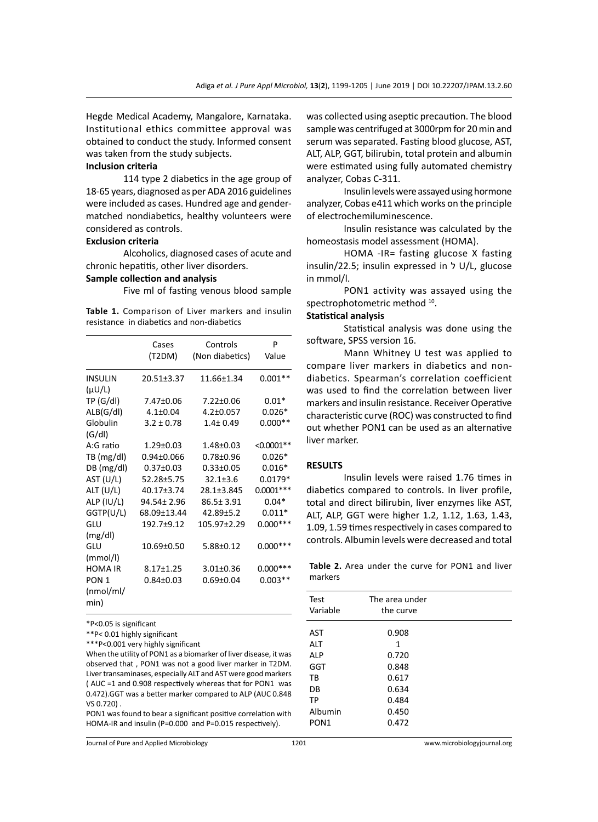Hegde Medical Academy, Mangalore, Karnataka. Institutional ethics committee approval was obtained to conduct the study. Informed consent was taken from the study subjects.

#### **Inclusion criteria**

114 type 2 diabetics in the age group of 18-65 years, diagnosed as per ADA 2016 guidelines were included as cases. Hundred age and gendermatched nondiabetics, healthy volunteers were considered as controls.

#### **Exclusion criteria**

Alcoholics, diagnosed cases of acute and chronic hepatitis, other liver disorders.

#### **Sample collection and analysis**

Five ml of fasting venous blood sample

**Table 1.** Comparison of Liver markers and insulin resistance in diabetics and non-diabetics

|                  | Cases            | Controls        | P            |
|------------------|------------------|-----------------|--------------|
|                  | (T2DM)           | (Non diabetics) | Value        |
| <b>INSULIN</b>   | 20.51±3.37       | 11.66±1.34      | $0.001**$    |
| $(\mu U/L)$      |                  |                 |              |
| TP(G/dI)         | 7.47±0.06        | $7.22 \pm 0.06$ | $0.01*$      |
| ALB(G/dI)        | $4.1 \pm 0.04$   | $4.2 \pm 0.057$ | $0.026*$     |
| Globulin         | $3.2 \pm 0.78$   | $1.4 \pm 0.49$  | $0.000**$    |
| (G/dI)           |                  |                 |              |
| A:G ratio        | 1.29±0.03        | 1.48±0.03       | $< 0.0001**$ |
| TB (mg/dl)       | $0.94 \pm 0.066$ | $0.78 + 0.96$   | $0.026*$     |
| DB (mg/dl)       | $0.37 \pm 0.03$  | $0.33 + 0.05$   | $0.016*$     |
| AST (U/L)        | 52.28±5.75       | $32.1 \pm 3.6$  | $0.0179*$    |
| ALT $(U/L)$      | 40.17±3.74       | 28.1±3.845      | $0.0001***$  |
| ALP (IU/L)       | 94.54± 2.96      | 86.5± 3.91      | $0.04*$      |
| GGTP(U/L)        | 68.09±13.44      | $42.89 + 5.2$   | $0.011*$     |
| GLU              | 192.7±9.12       | 105.97±2.29     | $0.000***$   |
| (mg/dl)          |                  |                 |              |
| GLU              | 10.69±0.50       | 5.88±0.12       | $0.000***$   |
| (mmol/l)         |                  |                 |              |
| <b>HOMA IR</b>   | 8.17±1.25        | $3.01 \pm 0.36$ | $0.000***$   |
| PON <sub>1</sub> | $0.84 \pm 0.03$  | $0.69 \pm 0.04$ | $0.003**$    |
| (mmol/ml)        |                  |                 |              |
| min)             |                  |                 |              |

\*P<0.05 is significant

\*\*P< 0.01 highly significant

\*\*\*P<0.001 very highly significant

When the utility of PON1 as a biomarker of liver disease, it was observed that , PON1 was not a good liver marker in T2DM. Liver transaminases, especially ALT and AST were good markers ( AUC =1 and 0.908 respectively whereas that for PON1 was 0.472).GGT was a better marker compared to ALP (AUC 0.848 VS 0.720) .

PON1 was found to bear a significant positive correlation with HOMA-IR and insulin (P=0.000 and P=0.015 respectively).

was collected using aseptic precaution. The blood sample was centrifuged at 3000rpm for 20 min and serum was separated. Fasting blood glucose, AST, ALT, ALP, GGT, bilirubin, total protein and albumin were estimated using fully automated chemistry analyzer, Cobas C-311.

Insulin levels were assayed using hormone analyzer, Cobas e411 which works on the principle of electrochemiluminescence.

Insulin resistance was calculated by the homeostasis model assessment (HOMA).

HOMA -IR= fasting glucose X fasting insulin/22.5; insulin expressed in ל U/L, glucose in mmol/l.

PON1 activity was assayed using the spectrophotometric method 10.

#### **Statistical analysis**

Statistical analysis was done using the software, SPSS version 16.

Mann Whitney U test was applied to compare liver markers in diabetics and nondiabetics. Spearman's correlation coefficient was used to find the correlation between liver markers and insulin resistance. Receiver Operative characteristic curve (ROC) was constructed to find out whether PON1 can be used as an alternative liver marker.

#### **RESULTS**

Insulin levels were raised 1.76 times in diabetics compared to controls. In liver profile, total and direct bilirubin, liver enzymes like AST, ALT, ALP, GGT were higher 1.2, 1.12, 1.63, 1.43, 1.09, 1.59 times respectively in cases compared to controls. Albumin levels were decreased and total

Table 2. Area under the curve for PON1 and liver markers

| Test             | The area under |  |
|------------------|----------------|--|
| Variable         | the curve      |  |
|                  |                |  |
| AST              | 0.908          |  |
| ALT              | 1              |  |
| <b>ALP</b>       | 0.720          |  |
| GGT              | 0.848          |  |
| TB               | 0.617          |  |
| DB               | 0.634          |  |
| TP               | 0.484          |  |
| Albumin          | 0.450          |  |
| PON <sub>1</sub> | 0.472          |  |
|                  |                |  |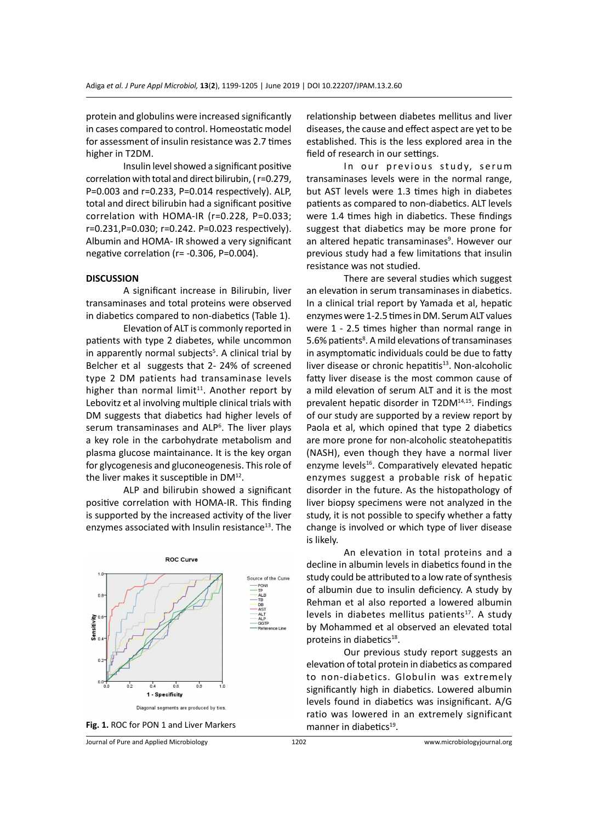protein and globulins were increased significantly in cases compared to control. Homeostatic model for assessment of insulin resistance was 2.7 times higher in T2DM.

Insulin level showed a significant positive correlation with total and direct bilirubin, ( r=0.279, P=0.003 and r=0.233, P=0.014 respectively). ALP, total and direct bilirubin had a significant positive correlation with HOMA-IR (r=0.228, P=0.033; r=0.231,P=0.030; r=0.242. P=0.023 respectively). Albumin and HOMA- IR showed a very significant negative correlation (r= -0.306, P=0.004).

#### **DISCUSSION**

A significant increase in Bilirubin, liver transaminases and total proteins were observed in diabetics compared to non-diabetics (Table 1).

Elevation of ALT is commonly reported in patients with type 2 diabetes, while uncommon in apparently normal subjects<sup>5</sup>. A clinical trial by Belcher et al suggests that 2- 24% of screened type 2 DM patients had transaminase levels higher than normal limit<sup>11</sup>. Another report by Lebovitz et al involving multiple clinical trials with DM suggests that diabetics had higher levels of serum transaminases and ALP<sup>6</sup>. The liver plays a key role in the carbohydrate metabolism and plasma glucose maintainance. It is the key organ for glycogenesis and gluconeogenesis. This role of the liver makes it susceptible in  $DM<sup>12</sup>$ .

ALP and bilirubin showed a significant positive correlation with HOMA-IR. This finding is supported by the increased activity of the liver enzymes associated with Insulin resistance<sup>13</sup>. The



Fig. 1. ROC for PON 1 and Liver Markers manner in diabetics<sup>19</sup>.

relationship between diabetes mellitus and liver diseases, the cause and effect aspect are yet to be established. This is the less explored area in the field of research in our settings.

In our previous study, serum transaminases levels were in the normal range, but AST levels were 1.3 times high in diabetes patients as compared to non-diabetics. ALT levels were 1.4 times high in diabetics. These findings suggest that diabetics may be more prone for an altered hepatic transaminases<sup>9</sup>. However our previous study had a few limitations that insulin resistance was not studied.

There are several studies which suggest an elevation in serum transaminases in diabetics. In a clinical trial report by Yamada et al, hepatic enzymes were 1-2.5 times in DM. Serum ALT values were 1 - 2.5 times higher than normal range in 5.6% patients<sup>8</sup>. A mild elevations of transaminases in asymptomatic individuals could be due to fatty liver disease or chronic hepatitis<sup>13</sup>. Non-alcoholic fatty liver disease is the most common cause of a mild elevation of serum ALT and it is the most prevalent hepatic disorder in T2DM14,15. Findings of our study are supported by a review report by Paola et al, which opined that type 2 diabetics are more prone for non-alcoholic steatohepatitis (NASH), even though they have a normal liver enzyme levels<sup>16</sup>. Comparatively elevated hepatic enzymes suggest a probable risk of hepatic disorder in the future. As the histopathology of liver biopsy specimens were not analyzed in the study, it is not possible to specify whether a fatty change is involved or which type of liver disease is likely.

An elevation in total proteins and a decline in albumin levels in diabetics found in the study could be attributed to a low rate of synthesis of albumin due to insulin deficiency. A study by Rehman et al also reported a lowered albumin levels in diabetes mellitus patients<sup>17</sup>. A study by Mohammed et al observed an elevated total proteins in diabetics<sup>18</sup>.

Our previous study report suggests an elevation of total protein in diabetics as compared to non-diabetics. Globulin was extremely significantly high in diabetics. Lowered albumin levels found in diabetics was insignificant. A/G ratio was lowered in an extremely significant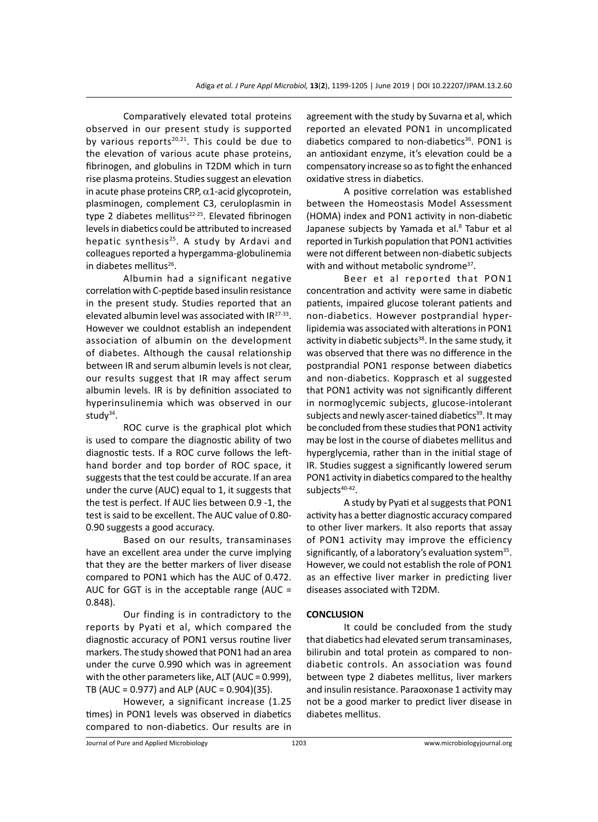Comparatively elevated total proteins observed in our present study is supported by various reports<sup>20,21</sup>. This could be due to the elevation of various acute phase proteins, fibrinogen, and globulins in T2DM which in turn rise plasma proteins. Studies suggest an elevation in acute phase proteins CRP,  $\alpha$ 1-acid glycoprotein, plasminogen, complement C3, ceruloplasmin in type 2 diabetes mellitus $22-25$ . Elevated fibrinogen levels in diabetics could be attributed to increased hepatic synthesis<sup>25</sup>. A study by Ardavi and colleagues reported a hypergamma-globulinemia in diabetes mellitus $^{26}$ .

Albumin had a significant negative correlation with C-peptide based insulin resistance in the present study. Studies reported that an elevated albumin level was associated with IR27-33. However we couldnot establish an independent association of albumin on the development of diabetes. Although the causal relationship between IR and serum albumin levels is not clear, our results suggest that IR may affect serum albumin levels. IR is by definition associated to hyperinsulinemia which was observed in our study $34$ .

ROC curve is the graphical plot which is used to compare the diagnostic ability of two diagnostic tests. If a ROC curve follows the lefthand border and top border of ROC space, it suggests that the test could be accurate. If an area under the curve (AUC) equal to 1, it suggests that the test is perfect. If AUC lies between 0.9 -1, the test is said to be excellent. The AUC value of 0.80- 0.90 suggests a good accuracy.

Based on our results, transaminases have an excellent area under the curve implying that they are the better markers of liver disease compared to PON1 which has the AUC of 0.472. AUC for GGT is in the acceptable range (AUC = 0.848).

Our finding is in contradictory to the reports by Pyati et al, which compared the diagnostic accuracy of PON1 versus routine liver markers. The study showed that PON1 had an area under the curve 0.990 which was in agreement with the other parameters like, ALT (AUC = 0.999), TB (AUC = 0.977) and ALP (AUC = 0.904)(35).

However, a significant increase (1.25 times) in PON1 levels was observed in diabetics compared to non-diabetics. Our results are in agreement with the study by Suvarna et al, which reported an elevated PON1 in uncomplicated diabetics compared to non-diabetics<sup>36</sup>. PON1 is an antioxidant enzyme, it's elevation could be a compensatory increase so as to fight the enhanced oxidative stress in diabetics.

A positive correlation was established between the Homeostasis Model Assessment (HOMA) index and PON1 activity in non-diabetic Japanese subjects by Yamada et al.<sup>8</sup> Tabur et al reported in Turkish population that PON1 activities were not different between non-diabetic subjects with and without metabolic syndrome<sup>37</sup>.

Beer et al reported that PON1 concentration and activity were same in diabetic patients, impaired glucose tolerant patients and non-diabetics. However postprandial hyperlipidemia was associated with alterations in PON1 activity in diabetic subjects $38$ . In the same study, it was observed that there was no difference in the postprandial PON1 response between diabetics and non-diabetics. Kopprasch et al suggested that PON1 activity was not significantly different in normoglycemic subjects, glucose-intolerant subjects and newly ascer-tained diabetics<sup>39</sup>. It may be concluded from these studies that PON1 activity may be lost in the course of diabetes mellitus and hyperglycemia, rather than in the initial stage of IR. Studies suggest a significantly lowered serum PON1 activity in diabetics compared to the healthy subjects<sup>40-42</sup>.

A study by Pyati et al suggests that PON1 activity has a better diagnostic accuracy compared to other liver markers. It also reports that assay of PON1 activity may improve the efficiency significantly, of a laboratory's evaluation system $35$ . However, we could not establish the role of PON1 as an effective liver marker in predicting liver diseases associated with T2DM.

#### **CONCLUSION**

It could be concluded from the study that diabetics had elevated serum transaminases, bilirubin and total protein as compared to nondiabetic controls. An association was found between type 2 diabetes mellitus, liver markers and insulin resistance. Paraoxonase 1 activity may not be a good marker to predict liver disease in diabetes mellitus.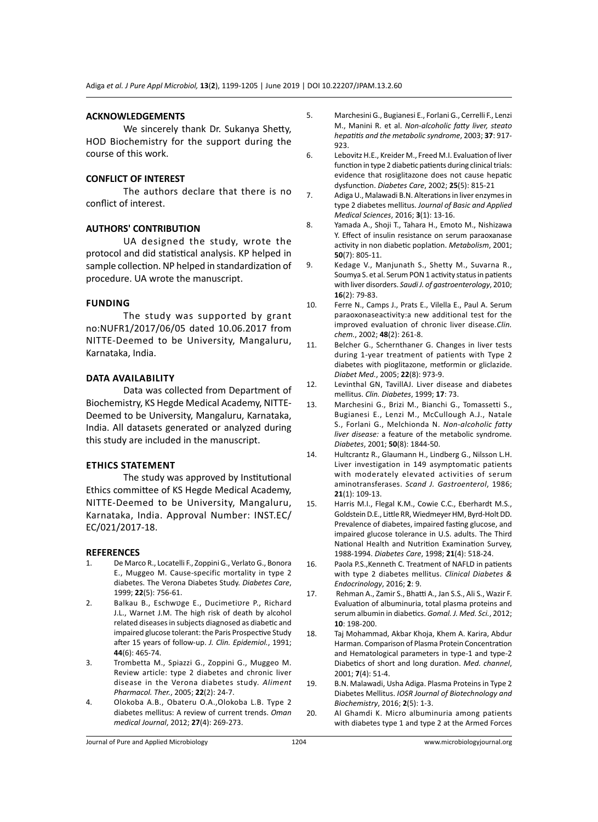### **ACKNOWLEDGEMENTS**

We sincerely thank Dr. Sukanya Shetty, HOD Biochemistry for the support during the course of this work.

#### **CONFLICT OF INTEREST**

The authors declare that there is no conflict of interest.

### **AUTHORS' CONTRIBUTION**

UA designed the study, wrote the protocol and did statistical analysis. KP helped in sample collection. NP helped in standardization of procedure. UA wrote the manuscript.

#### **Funding**

The study was supported by grant no:NUFR1/2017/06/05 dated 10.06.2017 from NITTE-Deemed to be University, Mangaluru, Karnataka, India.

#### **Data availability**

Data was collected from Department of Biochemistry, KS Hegde Medical Academy, NITTE-Deemed to be University, Mangaluru, Karnataka, India. All datasets generated or analyzed during this study are included in the manuscript.

#### **Ethics Statement**

The study was approved by Institutional Ethics committee of KS Hegde Medical Academy, NITTE-Deemed to be University, Mangaluru, Karnataka, India. Approval Number: INST.EC/ EC/021/2017-18.

#### **REFERENCES**

- 1. De Marco R., Locatelli F., Zoppini G., Verlato G., Bonora E., Muggeo M. Cause-specific mortality in type 2 diabetes. The Verona Diabetes Study. *Diabetes Care*, 1999; **22**(5): 756-61.
- 2. Balkau B., Eschwטge E., Ducimetiטre P., Richard J.L., Warnet J.M. The high risk of death by alcohol related diseases in subjects diagnosed as diabetic and impaired glucose tolerant: the Paris Prospective Study after 15 years of follow-up. *J. Clin. Epidemiol.*, 1991; **44**(6): 465-74.
- 3. Trombetta M., Spiazzi G., Zoppini G., Muggeo M. Review article: type 2 diabetes and chronic liver disease in the Verona diabetes study. *Aliment Pharmacol. Ther.*, 2005; **22**(2): 24-7.
- 4. Olokoba A.B., Obateru O.A.,Olokoba L.B. Type 2 diabetes mellitus: A review of current trends. *Oman medical Journal*, 2012; **27**(4): 269-273.
- 5. Marchesini G., Bugianesi E., Forlani G., Cerrelli F., Lenzi M., Manini R. et al. *Non-alcoholic fatty liver, steato hepatitis and the metabolic syndrome*, 2003; **37**: 917- 923.
- 6. Lebovitz H.E., Kreider M., Freed M.I. Evaluation of liver function in type 2 diabetic patients during clinical trials: evidence that rosiglitazone does not cause hepatic dysfunction. *Diabetes Care*, 2002; **25**(5): 815-21
- 7. Adiga U., Malawadi B.N. Alterations in liver enzymes in type 2 diabetes mellitus. *Journal of Basic and Applied Medical Sciences*, 2016; **3**(1): 13-16.
- 8. Yamada A., Shoji T., Tahara H., Emoto M., Nishizawa Y. Effect of insulin resistance on serum paraoxanase activity in non diabetic poplation. *Metabolism*, 2001; **50**(7): 805-11.
- 9. Kedage V., Manjunath S., Shetty M., Suvarna R., Soumya S. et al. Serum PON 1 activity status in patients with liver disorders. *Saudi J. of gastroenterology*, 2010; **16**(2): 79-83.
- 10. Ferre N., Camps J., Prats E., Vilella E., Paul A. Serum paraoxonaseactivity:a new additional test for the improved evaluation of chronic liver disease.*Clin. chem.*, 2002; **48**(2): 261-8.
- 11. Belcher G., Schernthaner G. Changes in liver tests during 1-year treatment of patients with Type 2 diabetes with pioglitazone, metformin or gliclazide. *Diabet Med.*, 2005; **22**(8): 973-9.
- 12. Levinthal GN, TavillAJ. Liver disease and diabetes mellitus. *Clin. Diabetes*, 1999; **17**: 73.
- 13. Marchesini G., Brizi M., Bianchi G., Tomassetti S., Bugianesi E., Lenzi M., McCullough A.J., Natale S., Forlani G., Melchionda N. *Non-alcoholic fatty liver disease:* a feature of the metabolic syndrome*. Diabetes*, 2001; **50**(8): 1844-50.
- 14. Hultcrantz R., Glaumann H., Lindberg G., Nilsson L.H. Liver investigation in 149 asymptomatic patients with moderately elevated activities of serum aminotransferases. *Scand J. Gastroenterol*, 1986; **21**(1): 109-13.
- 15. Harris M.I., Flegal K.M., Cowie C.C., Eberhardt M.S., Goldstein D.E., Little RR, Wiedmeyer HM, Byrd-Holt DD. Prevalence of diabetes, impaired fasting glucose, and impaired glucose tolerance in U.S. adults. The Third National Health and Nutrition Examination Survey, 1988-1994. *Diabetes Care*, 1998; **21**(4): 518-24.
- 16. Paola P.S.,Kenneth C. Treatment of NAFLD in patients with type 2 diabetes mellitus. *Clinical Diabetes & Endocrinology*, 2016; **2**: 9.
- 17. Rehman A., Zamir S., Bhatti A., Jan S.S., Ali S., Wazir F. Evaluation of albuminuria, total plasma proteins and serum albumin in diabetics. *Gomal. J. Med. Sci.*, 2012; **10**: 198-200.
- 18. Taj Mohammad, Akbar Khoja, Khem A. Karira, Abdur Harman. Comparison of Plasma Protein Concentration and Hematological parameters in type-1 and type-2 Diabetics of short and long duration. *Med. channel*, 2001; **7**(4): 51-4.
- 19. B.N. Malawadi, Usha Adiga. Plasma Proteins in Type 2 Diabetes Mellitus. *IOSR Journal of Biotechnology and Biochemistry*, 2016; **2**(5): 1-3.
- 20. Al Ghamdi K. Micro albuminuria among patients with diabetes type 1 and type 2 at the Armed Forces